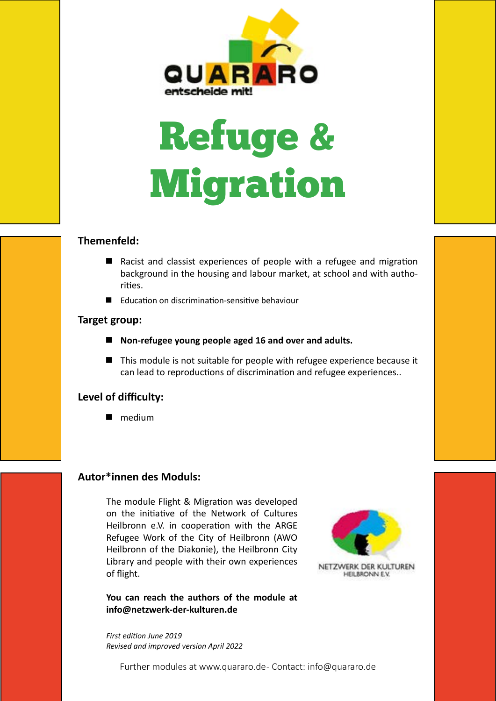

# Refuge & Migration

#### **Themenfeld:**

- Racist and classist experiences of people with a refugee and migration background in the housing and labour market, at school and with authorities.
- Education on discrimination-sensitive behaviour

#### **Target group:**

- Non-refugee young people aged 16 and over and adults.
- This module is not suitable for people with refugee experience because it can lead to reproductions of discrimination and refugee experiences..

#### **Level of difficulty:**

medium

#### **Autor\*innen des Moduls:**

The module Flight & Migration was developed on the initiative of the Network of Cultures Heilbronn e.V. in cooperation with the ARGE Refugee Work of the City of Heilbronn (AWO Heilbronn of the Diakonie), the Heilbronn City Library and people with their own experiences of flight.

**You can reach the authors of the module at info@netzwerk-der-kulturen.de**

*First edition June 2019 Revised and improved version April 2022*



Further modules at www.quararo.de - Contact: info@quararo.de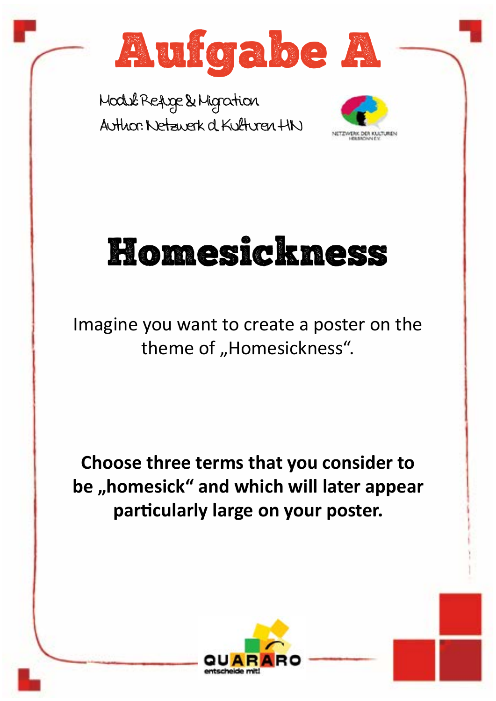





## Homesickness

Imagine you want to create a poster on the theme of "Homesickness".

**Choose three terms that you consider to**  be "homesick" and which will later appear **particularly large on your poster.**

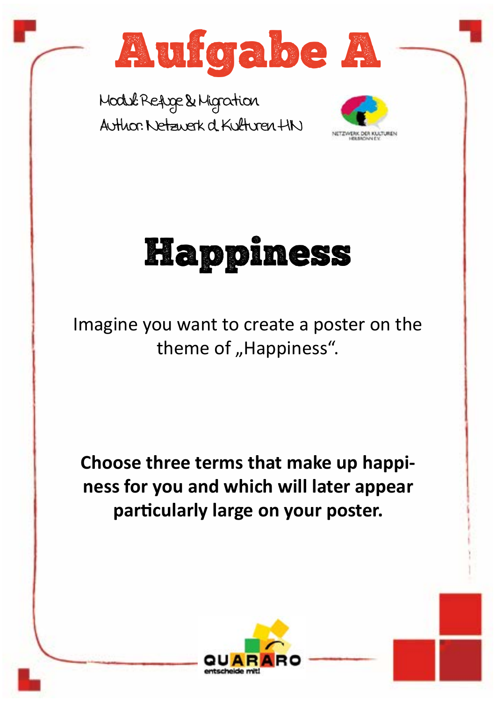







Imagine you want to create a poster on the theme of "Happiness".

**Choose three terms that make up happiness for you and which will later appear particularly large on your poster.**



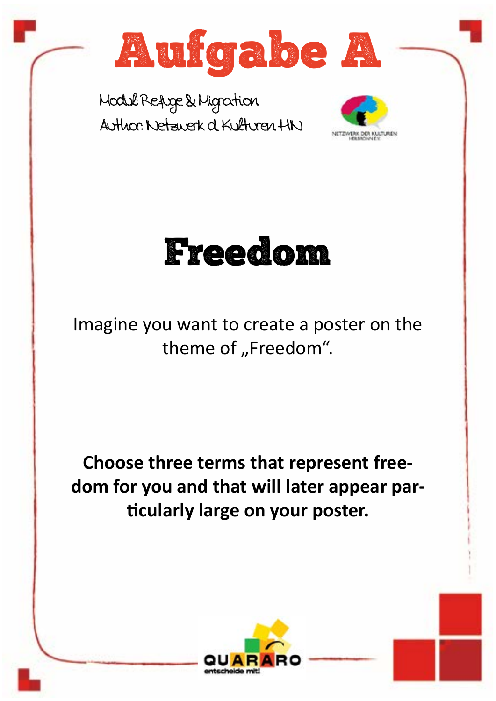







Imagine you want to create a poster on the theme of "Freedom".

## **Choose three terms that represent freedom for you and that will later appear particularly large on your poster.**



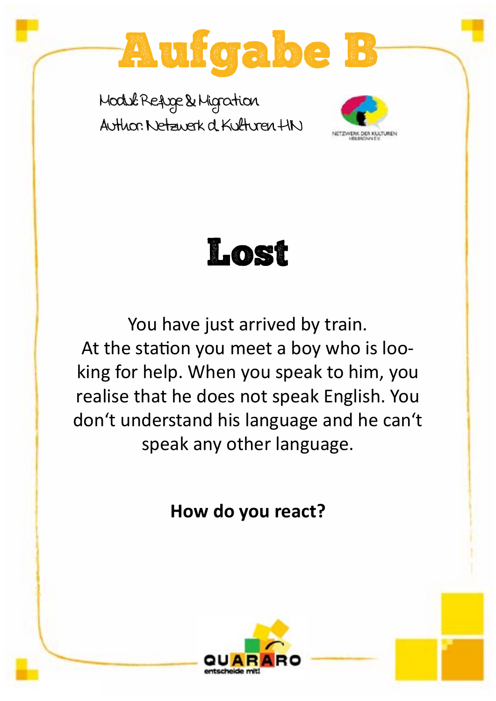





You have just arrived by train. At the station you meet a boy who is looking for help. When you speak to him, you realise that he does not speak English. You don't understand his language and he can't speak any other language.

**How do you react?**

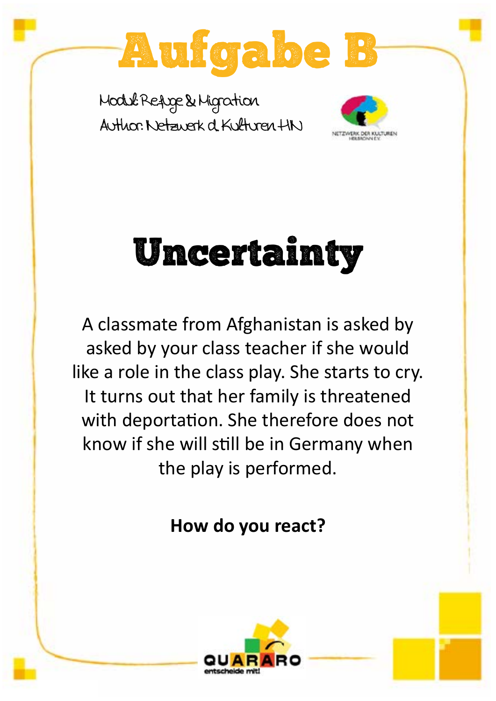



# Uncertainty

A classmate from Afghanistan is asked by asked by your class teacher if she would like a role in the class play. She starts to cry. It turns out that her family is threatened with deportation. She therefore does not know if she will still be in Germany when the play is performed.

### **How do you react?**

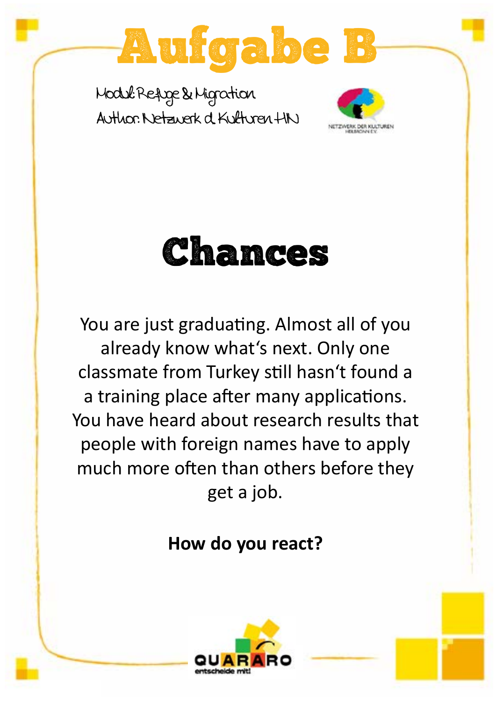



Chances

You are just graduating. Almost all of you already know what's next. Only one classmate from Turkey still hasn't found a a training place after many applications. You have heard about research results that people with foreign names have to apply much more often than others before they get a job.

### **How do you react?**

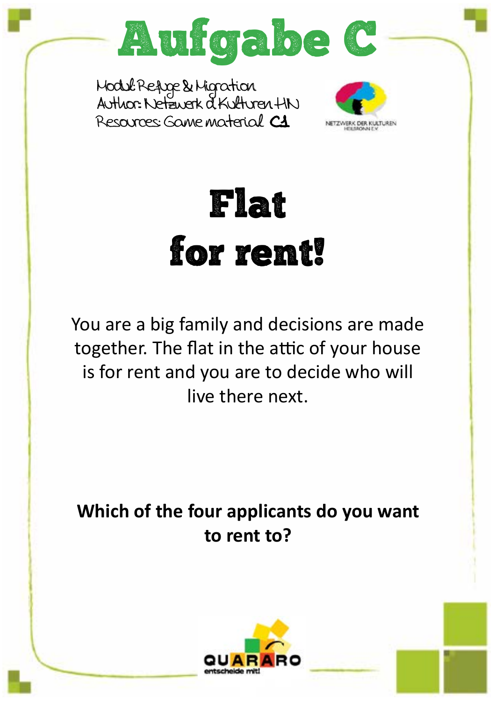

Modul: Refuge & Migration Author:: Netzwerk d. Kulturen HN Resources: Game material C1



Flat for rent!

You are a big family and decisions are made together. The flat in the attic of your house is for rent and you are to decide who will live there next.

**Which of the four applicants do you want to rent to?**

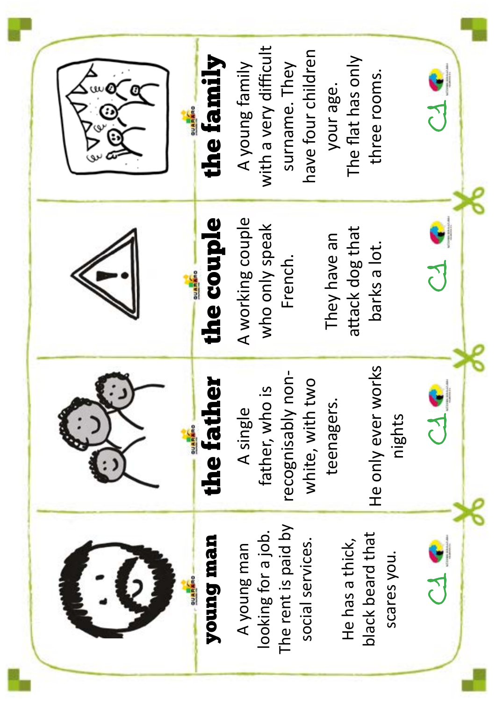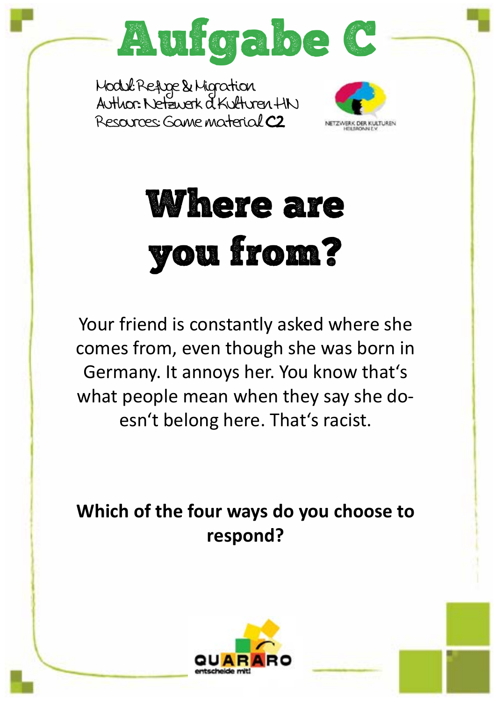

Modul: Refuge & Migration Author:: Netzwerk d. Kulturen HN Resources: Game material C2



# Where are you from?

Your friend is constantly asked where she comes from, even though she was born in Germany. It annoys her. You know that's what people mean when they say she doesn't belong here. That's racist.

**Which of the four ways do you choose to respond?**

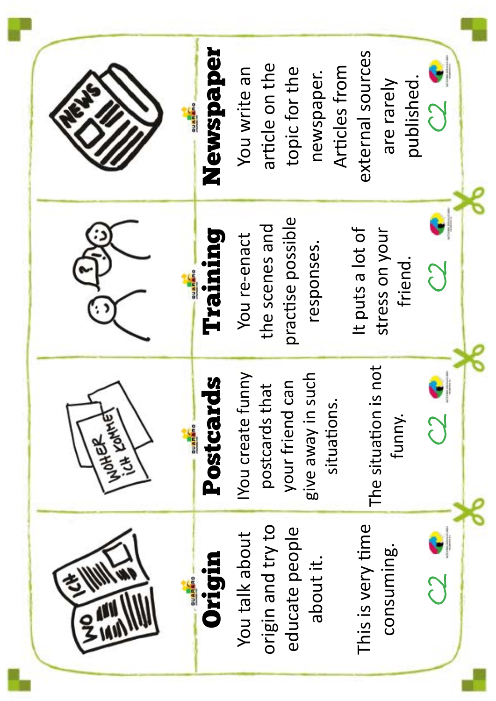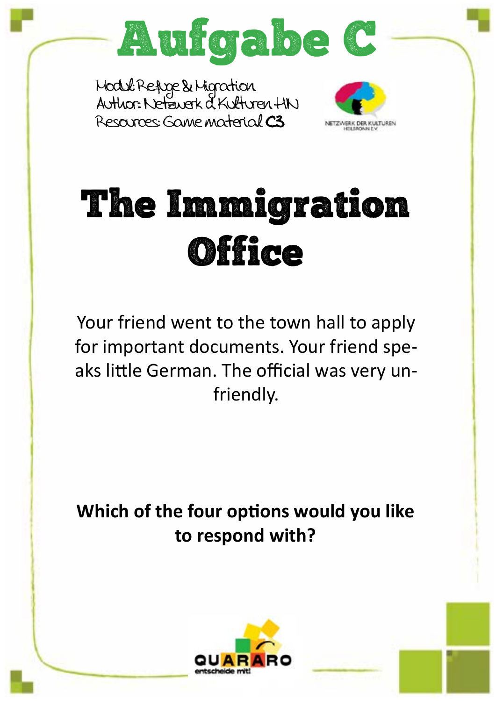

Modul: Refuge & Migration Author:: Netzwerk d. Kulturen HN Resources: Game material C3



# The Immigration **Office**

Your friend went to the town hall to apply for important documents. Your friend speaks little German. The official was very unfriendly.

**Which of the four options would you like to respond with?**

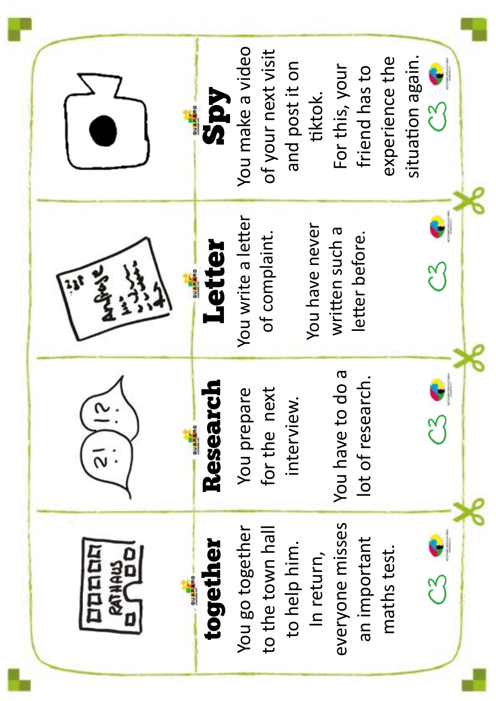|                                          | <b>Spy</b><br><b>DUARANO</b> | You make a video   | of your next visit | and post it on | tiktok.        | For this, your             | friend has to   | experience the | situation again. | $\mathcal{C}^2$ |  |
|------------------------------------------|------------------------------|--------------------|--------------------|----------------|----------------|----------------------------|-----------------|----------------|------------------|-----------------|--|
|                                          | <b>Tetter</b><br>OUARARO     | You write a letter | of complaint.      |                | You have never | written such a             | letter before.  |                |                  | ू<br>१          |  |
|                                          | Research<br><b>OUARINO</b>   | You prepare        | for the next       | interview.     |                | <b>D</b><br>You have to do | lot of researcl |                |                  | $\frac{1}{2}$   |  |
| DUDER<br><b>RATHAN</b><br><b>COARING</b> | together                     | You go together    | to the town hall   | to help him.   | In return,     | everyone misses            | an important    | maths test.    |                  | $\frac{2}{3}$   |  |

Ť.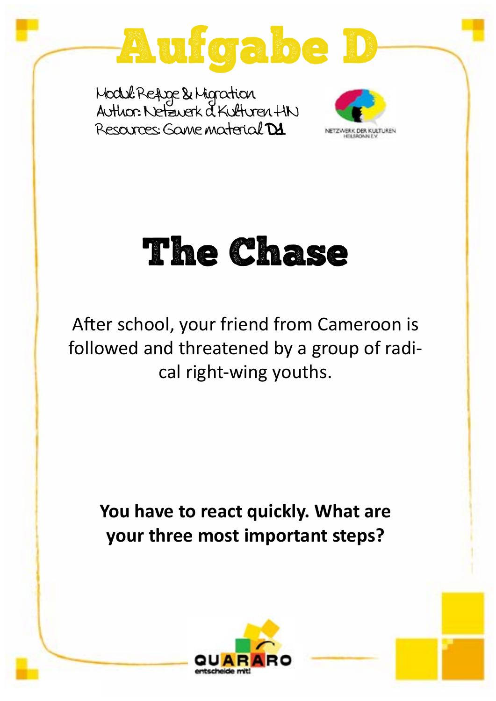

Modul: Refuge & Migration Author:: Netzwerk d. Kulturen HN Resources: Game material D1



## The Chase

After school, your friend from Cameroon is followed and threatened by a group of radical right-wing youths.

**You have to react quickly. What are your three most important steps?**

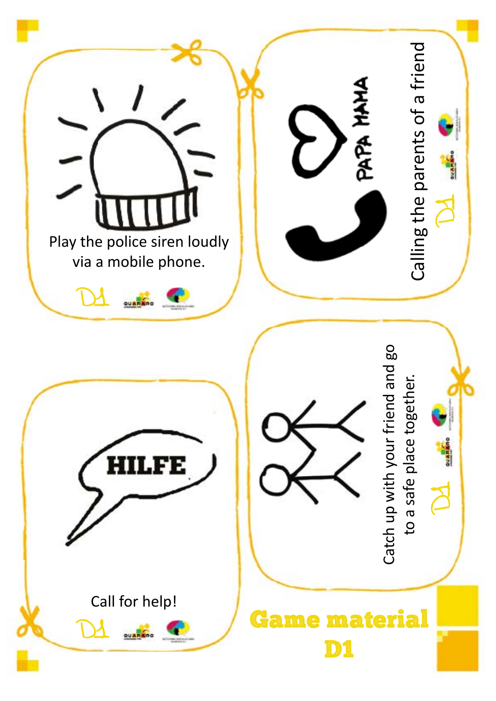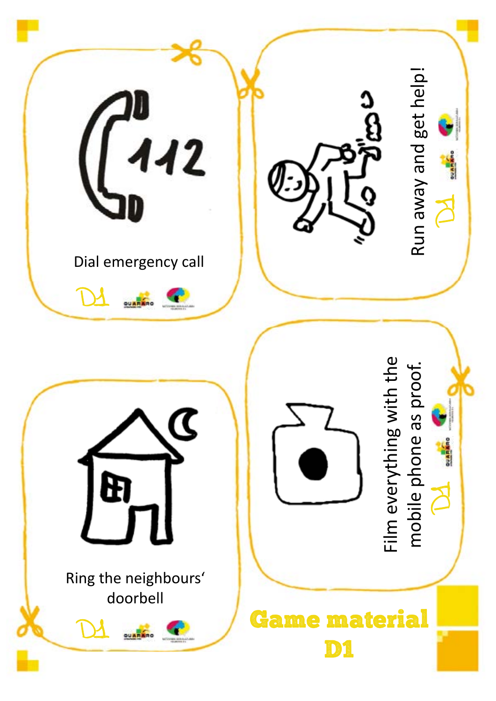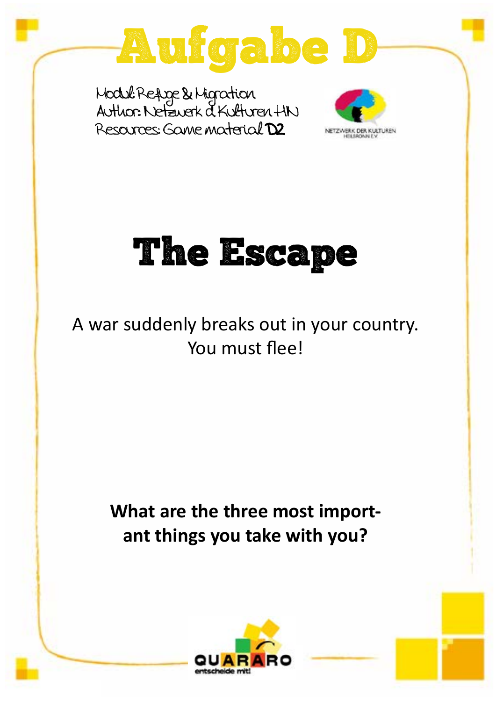

Modul: Refuge & Migration Author:: Netzwerk d. Kulturen HN Resources: Game material D2



# The Escape

A war suddenly breaks out in your country. You must flee!

> **What are the three most important things you take with you?**

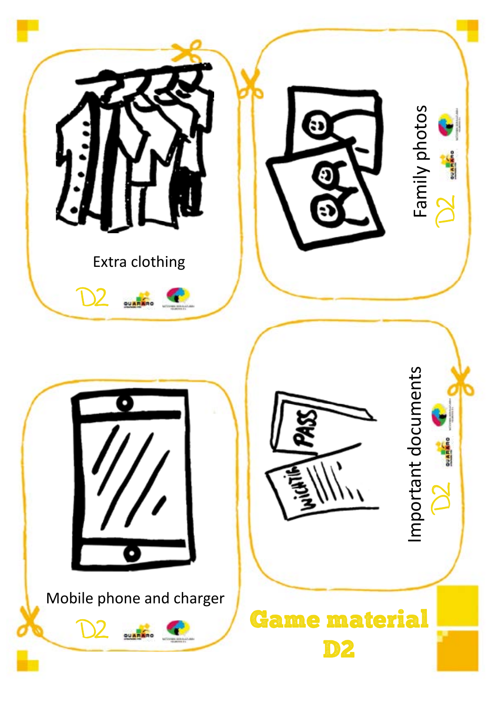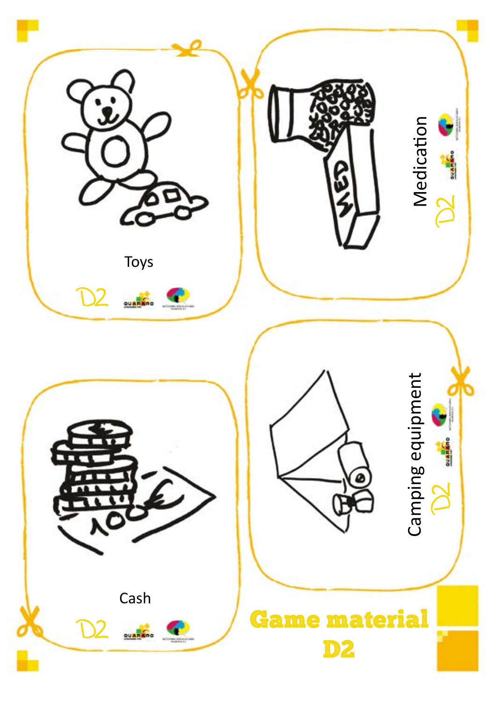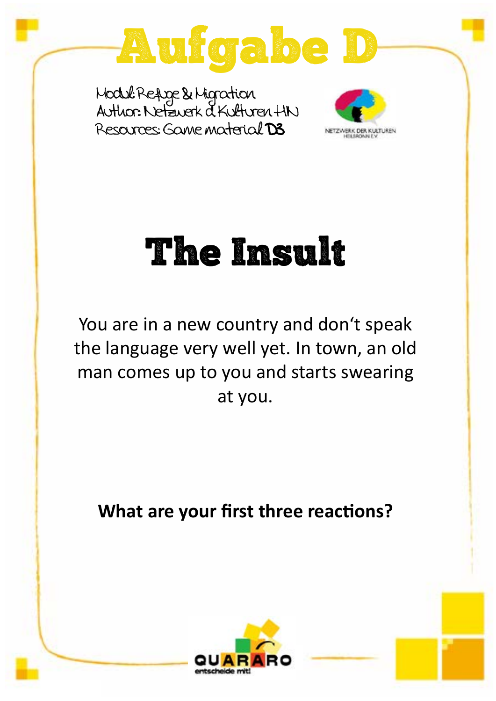

Modul: Refuge & Migration Author:: Netzwerk d. Kulturen HN Resources: Game material D3



## The Insult

You are in a new country and don't speak the language very well yet. In town, an old man comes up to you and starts swearing at you.

**What are your first three reactions?**

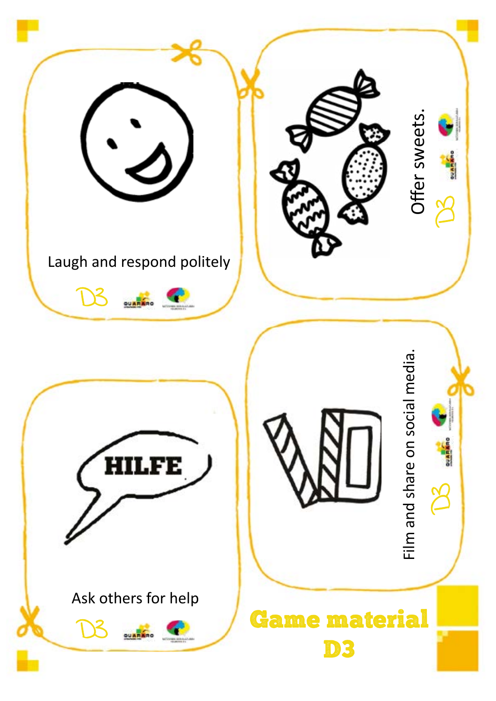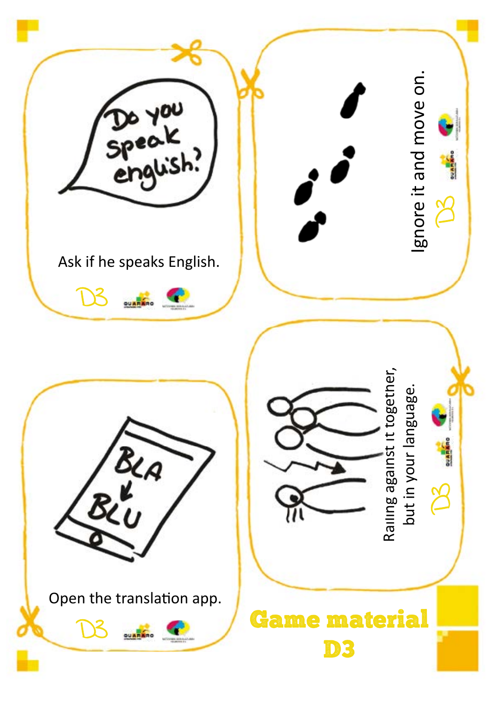